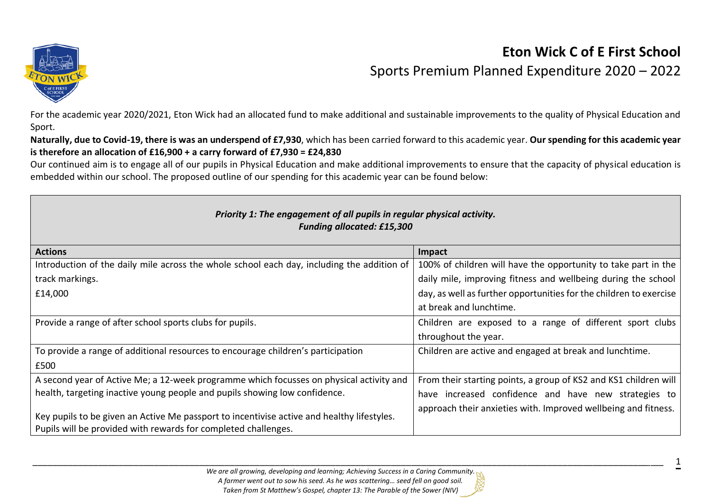

## **Eton Wick C of E First School** Sports Premium Planned Expenditure 2020 – 2022

For the academic year 2020/2021, Eton Wick had an allocated fund to make additional and sustainable improvements to the quality of Physical Education and Sport.

**Naturally, due to Covid-19, there is was an underspend of £7,930**, which has been carried forward to this academic year. **Our spending for this academic year is therefore an allocation of £16,900 + a carry forward of £7,930 = £24,830**

Our continued aim is to engage all of our pupils in Physical Education and make additional improvements to ensure that the capacity of physical education is embedded within our school. The proposed outline of our spending for this academic year can be found below:

| Priority 1: The engagement of all pupils in regular physical activity.<br><b>Funding allocated: £15,300</b>                                                  |                                                                    |  |  |  |
|--------------------------------------------------------------------------------------------------------------------------------------------------------------|--------------------------------------------------------------------|--|--|--|
| <b>Actions</b>                                                                                                                                               | Impact                                                             |  |  |  |
| Introduction of the daily mile across the whole school each day, including the addition of                                                                   | 100% of children will have the opportunity to take part in the     |  |  |  |
| track markings.                                                                                                                                              | daily mile, improving fitness and wellbeing during the school      |  |  |  |
| £14,000                                                                                                                                                      | day, as well as further opportunities for the children to exercise |  |  |  |
|                                                                                                                                                              | at break and lunchtime.                                            |  |  |  |
| Provide a range of after school sports clubs for pupils.                                                                                                     | Children are exposed to a range of different sport clubs           |  |  |  |
|                                                                                                                                                              | throughout the year.                                               |  |  |  |
| To provide a range of additional resources to encourage children's participation                                                                             | Children are active and engaged at break and lunchtime.            |  |  |  |
| £500                                                                                                                                                         |                                                                    |  |  |  |
| A second year of Active Me; a 12-week programme which focusses on physical activity and                                                                      | From their starting points, a group of KS2 and KS1 children will   |  |  |  |
| health, targeting inactive young people and pupils showing low confidence.                                                                                   | have increased confidence and have new strategies to               |  |  |  |
| Key pupils to be given an Active Me passport to incentivise active and healthy lifestyles.<br>Pupils will be provided with rewards for completed challenges. | approach their anxieties with. Improved wellbeing and fitness.     |  |  |  |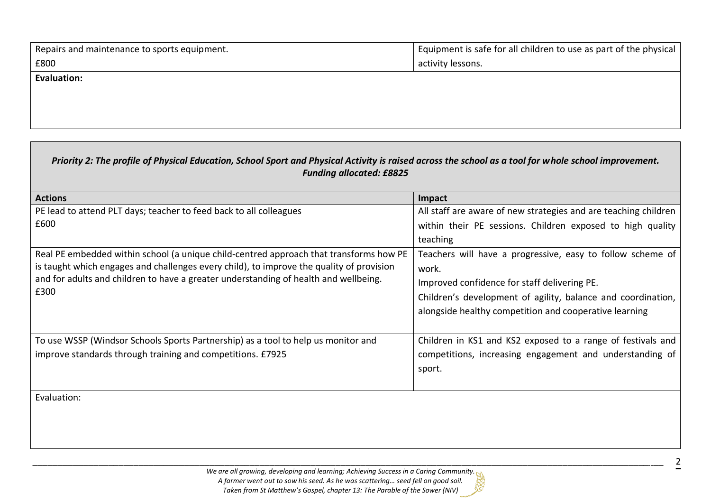| Repairs and maintenance to sports equipment. | Equipment is safe for all children to use as part of the physical |  |  |  |
|----------------------------------------------|-------------------------------------------------------------------|--|--|--|
| £800                                         | activity lessons.                                                 |  |  |  |
| Evaluation:                                  |                                                                   |  |  |  |
|                                              |                                                                   |  |  |  |

| Priority 2: The profile of Physical Education, School Sport and Physical Activity is raised across the school as a tool for whole school improvement.<br><b>Funding allocated: £8825</b> |                                                                    |  |  |  |
|------------------------------------------------------------------------------------------------------------------------------------------------------------------------------------------|--------------------------------------------------------------------|--|--|--|
| <b>Actions</b>                                                                                                                                                                           | Impact                                                             |  |  |  |
| PE lead to attend PLT days; teacher to feed back to all colleagues                                                                                                                       | All staff are aware of new strategies and are teaching children    |  |  |  |
| £600                                                                                                                                                                                     | within their PE sessions. Children exposed to high quality         |  |  |  |
|                                                                                                                                                                                          | teaching                                                           |  |  |  |
| Real PE embedded within school (a unique child-centred approach that transforms how PE                                                                                                   | Teachers will have a progressive, easy to follow scheme of         |  |  |  |
| is taught which engages and challenges every child), to improve the quality of provision                                                                                                 | work.                                                              |  |  |  |
| and for adults and children to have a greater understanding of health and wellbeing.<br>£300                                                                                             | Improved confidence for staff delivering PE.                       |  |  |  |
|                                                                                                                                                                                          | Children's development of agility, balance and coordination,       |  |  |  |
|                                                                                                                                                                                          | alongside healthy competition and cooperative learning             |  |  |  |
| To use WSSP (Windsor Schools Sports Partnership) as a tool to help us monitor and                                                                                                        | Children in KS1 and KS2 exposed to a range of festivals and        |  |  |  |
| improve standards through training and competitions. £7925                                                                                                                               | competitions, increasing engagement and understanding of<br>sport. |  |  |  |
| Evaluation:                                                                                                                                                                              |                                                                    |  |  |  |
|                                                                                                                                                                                          |                                                                    |  |  |  |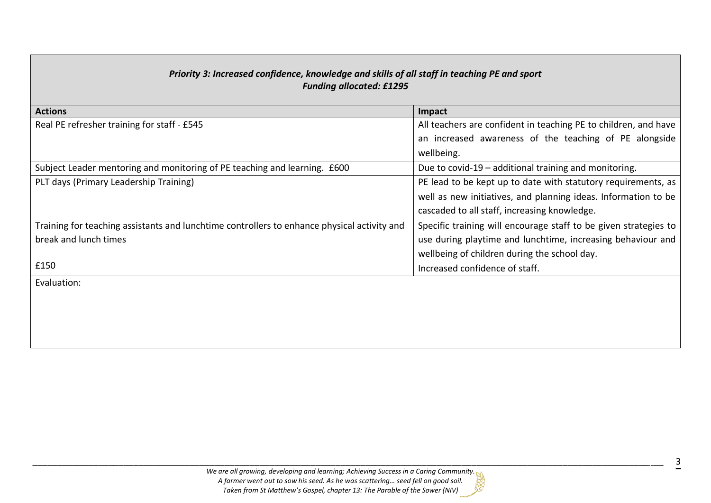| Priority 3: Increased confidence, knowledge and skills of all staff in teaching PE and sport<br><b>Funding allocated: £1295</b> |                                                                  |  |  |  |
|---------------------------------------------------------------------------------------------------------------------------------|------------------------------------------------------------------|--|--|--|
| <b>Actions</b>                                                                                                                  | Impact                                                           |  |  |  |
| Real PE refresher training for staff - £545                                                                                     | All teachers are confident in teaching PE to children, and have  |  |  |  |
|                                                                                                                                 | an increased awareness of the teaching of PE alongside           |  |  |  |
|                                                                                                                                 | wellbeing.                                                       |  |  |  |
| Subject Leader mentoring and monitoring of PE teaching and learning. £600                                                       | Due to covid-19 - additional training and monitoring.            |  |  |  |
| PLT days (Primary Leadership Training)                                                                                          | PE lead to be kept up to date with statutory requirements, as    |  |  |  |
|                                                                                                                                 | well as new initiatives, and planning ideas. Information to be   |  |  |  |
|                                                                                                                                 | cascaded to all staff, increasing knowledge.                     |  |  |  |
| Training for teaching assistants and lunchtime controllers to enhance physical activity and                                     | Specific training will encourage staff to be given strategies to |  |  |  |
| break and lunch times                                                                                                           | use during playtime and lunchtime, increasing behaviour and      |  |  |  |
|                                                                                                                                 | wellbeing of children during the school day.                     |  |  |  |
| £150                                                                                                                            | Increased confidence of staff.                                   |  |  |  |
| Evaluation:                                                                                                                     |                                                                  |  |  |  |
|                                                                                                                                 |                                                                  |  |  |  |
|                                                                                                                                 |                                                                  |  |  |  |
|                                                                                                                                 |                                                                  |  |  |  |
|                                                                                                                                 |                                                                  |  |  |  |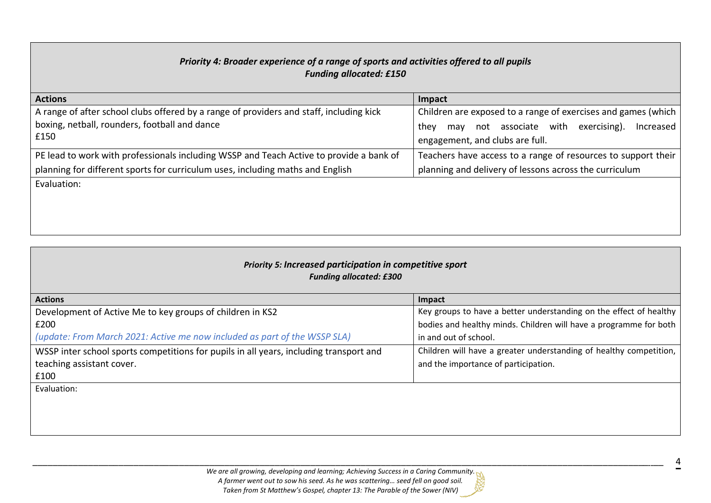| Priority 4: Broader experience of a range of sports and activities offered to all pupils<br><b>Funding allocated: £150</b>                       |                                                                                                                                                              |  |  |  |  |  |
|--------------------------------------------------------------------------------------------------------------------------------------------------|--------------------------------------------------------------------------------------------------------------------------------------------------------------|--|--|--|--|--|
| <b>Actions</b>                                                                                                                                   | Impact                                                                                                                                                       |  |  |  |  |  |
| A range of after school clubs offered by a range of providers and staff, including kick<br>boxing, netball, rounders, football and dance<br>£150 | Children are exposed to a range of exercises and games (which<br>may not associate with exercising).<br>Increased<br>they<br>engagement, and clubs are full. |  |  |  |  |  |
| PE lead to work with professionals including WSSP and Teach Active to provide a bank of                                                          | Teachers have access to a range of resources to support their                                                                                                |  |  |  |  |  |
| planning for different sports for curriculum uses, including maths and English                                                                   | planning and delivery of lessons across the curriculum                                                                                                       |  |  |  |  |  |
| Evaluation:                                                                                                                                      |                                                                                                                                                              |  |  |  |  |  |

| Priority 5: Increased participation in competitive sport<br><b>Funding allocated: £300</b> |                                                                    |  |  |
|--------------------------------------------------------------------------------------------|--------------------------------------------------------------------|--|--|
| <b>Actions</b>                                                                             | Impact                                                             |  |  |
| Development of Active Me to key groups of children in KS2                                  | Key groups to have a better understanding on the effect of healthy |  |  |
| £200                                                                                       | bodies and healthy minds. Children will have a programme for both  |  |  |
| (update: From March 2021: Active me now included as part of the WSSP SLA)                  | in and out of school.                                              |  |  |
| WSSP inter school sports competitions for pupils in all years, including transport and     | Children will have a greater understanding of healthy competition, |  |  |
| teaching assistant cover.                                                                  | and the importance of participation.                               |  |  |
| £100                                                                                       |                                                                    |  |  |
| Evaluation:                                                                                |                                                                    |  |  |
|                                                                                            |                                                                    |  |  |